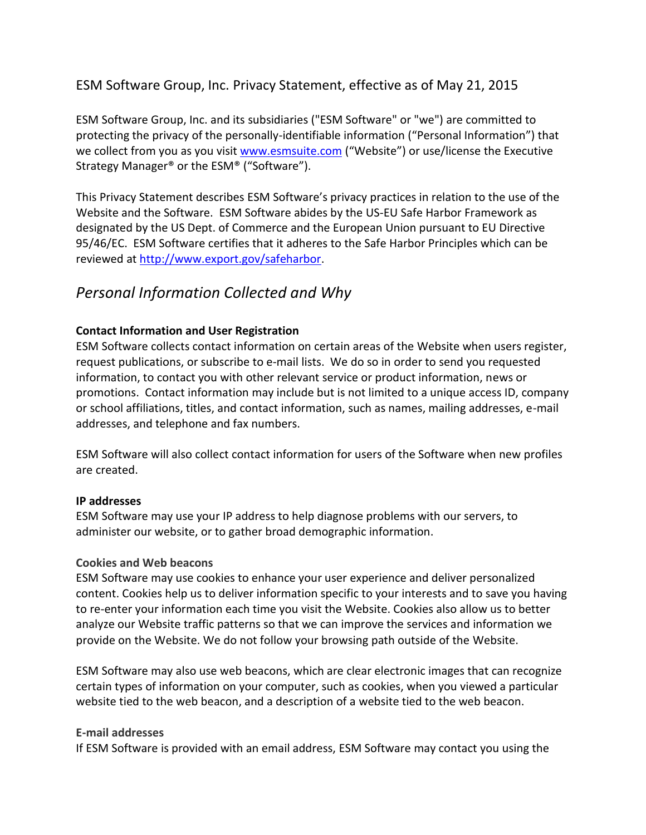## ESM Software Group, Inc. Privacy Statement, effective as of May 21, 2015

ESM Software Group, Inc. and its subsidiaries ("ESM Software" or "we") are committed to protecting the privacy of the personally-identifiable information ("Personal Information") that we collect from you as you visit [www.esmsuite.com](http://www.esmsuite.com/) ("Website") or use/license the Executive Strategy Manager® or the ESM® ("Software").

This Privacy Statement describes ESM Software's privacy practices in relation to the use of the Website and the Software. ESM Software abides by the US-EU Safe Harbor Framework as designated by the US Dept. of Commerce and the European Union pursuant to EU Directive 95/46/EC. ESM Software certifies that it adheres to the Safe Harbor Principles which can be reviewed at [http://www.export.gov/safeharbor.](http://www.export.gov/safeharbor)

## *Personal Information Collected and Why*

#### **Contact Information and User Registration**

ESM Software collects contact information on certain areas of the Website when users register, request publications, or subscribe to e-mail lists. We do so in order to send you requested information, to contact you with other relevant service or product information, news or promotions. Contact information may include but is not limited to a unique access ID, company or school affiliations, titles, and contact information, such as names, mailing addresses, e-mail addresses, and telephone and fax numbers.

ESM Software will also collect contact information for users of the Software when new profiles are created.

#### **IP addresses**

ESM Software may use your IP address to help diagnose problems with our servers, to administer our website, or to gather broad demographic information.

#### **Cookies and Web beacons**

ESM Software may use cookies to enhance your user experience and deliver personalized content. Cookies help us to deliver information specific to your interests and to save you having to re-enter your information each time you visit the Website. Cookies also allow us to better analyze our Website traffic patterns so that we can improve the services and information we provide on the Website. We do not follow your browsing path outside of the Website.

ESM Software may also use web beacons, which are clear electronic images that can recognize certain types of information on your computer, such as cookies, when you viewed a particular website tied to the web beacon, and a description of a website tied to the web beacon.

#### **E-mail addresses**

If ESM Software is provided with an email address, ESM Software may contact you using the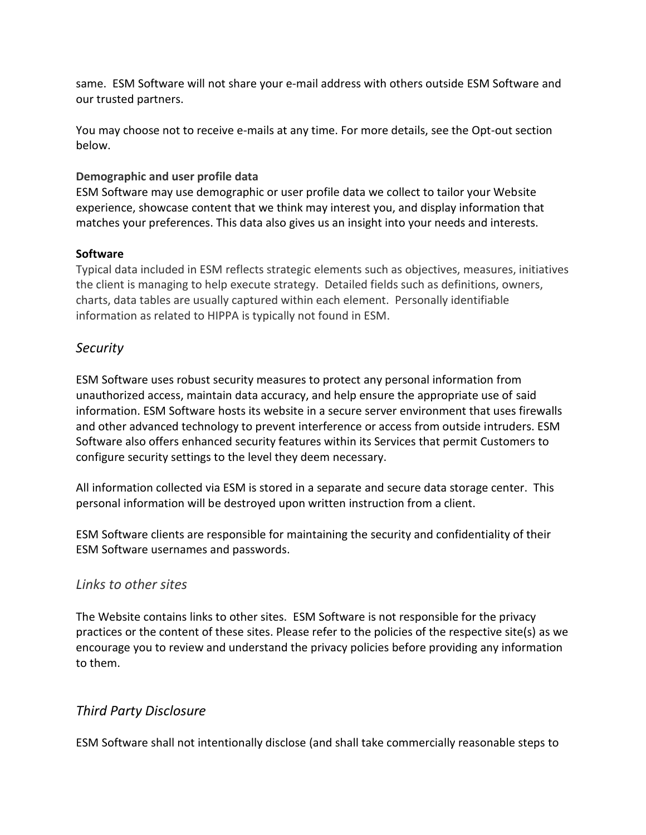same. ESM Software will not share your e-mail address with others outside ESM Software and our trusted partners.

You may choose not to receive e-mails at any time. For more details, see the Opt-out section below.

#### **Demographic and user profile data**

ESM Software may use demographic or user profile data we collect to tailor your Website experience, showcase content that we think may interest you, and display information that matches your preferences. This data also gives us an insight into your needs and interests.

### **Software**

Typical data included in ESM reflects strategic elements such as objectives, measures, initiatives the client is managing to help execute strategy. Detailed fields such as definitions, owners, charts, data tables are usually captured within each element. Personally identifiable information as related to HIPPA is typically not found in ESM.

## *Security*

ESM Software uses robust security measures to protect any personal information from unauthorized access, maintain data accuracy, and help ensure the appropriate use of said information. ESM Software hosts its website in a secure server environment that uses firewalls and other advanced technology to prevent interference or access from outside intruders. ESM Software also offers enhanced security features within its Services that permit Customers to configure security settings to the level they deem necessary.

All information collected via ESM is stored in a separate and secure data storage center. This personal information will be destroyed upon written instruction from a client.

ESM Software clients are responsible for maintaining the security and confidentiality of their ESM Software usernames and passwords.

## *Links to other sites*

The Website contains links to other sites. ESM Software is not responsible for the privacy practices or the content of these sites. Please refer to the policies of the respective site(s) as we encourage you to review and understand the privacy policies before providing any information to them.

## *Third Party Disclosure*

ESM Software shall not intentionally disclose (and shall take commercially reasonable steps to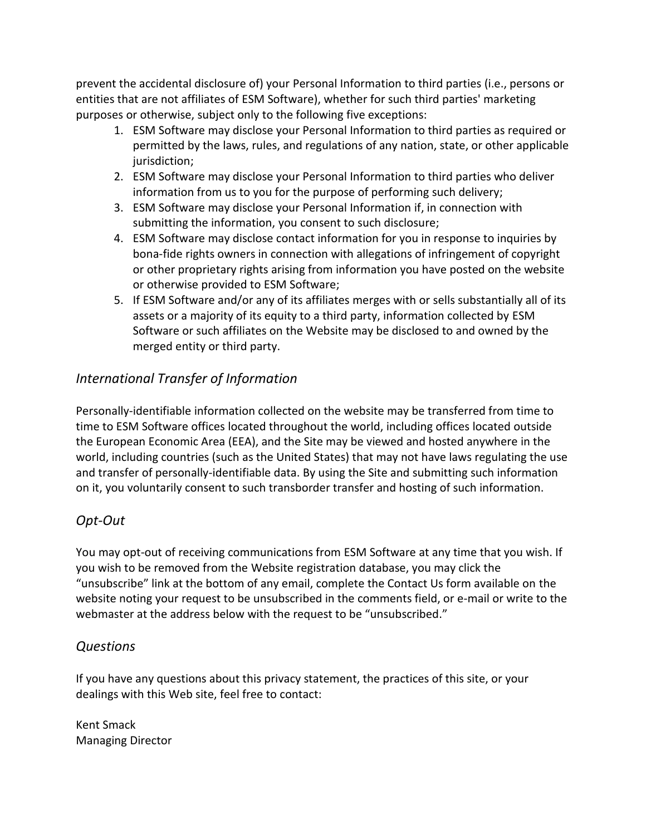prevent the accidental disclosure of) your Personal Information to third parties (i.e., persons or entities that are not affiliates of ESM Software), whether for such third parties' marketing purposes or otherwise, subject only to the following five exceptions:

- 1. ESM Software may disclose your Personal Information to third parties as required or permitted by the laws, rules, and regulations of any nation, state, or other applicable jurisdiction;
- 2. ESM Software may disclose your Personal Information to third parties who deliver information from us to you for the purpose of performing such delivery;
- 3. ESM Software may disclose your Personal Information if, in connection with submitting the information, you consent to such disclosure;
- 4. ESM Software may disclose contact information for you in response to inquiries by bona-fide rights owners in connection with allegations of infringement of copyright or other proprietary rights arising from information you have posted on the website or otherwise provided to ESM Software;
- 5. If ESM Software and/or any of its affiliates merges with or sells substantially all of its assets or a majority of its equity to a third party, information collected by ESM Software or such affiliates on the Website may be disclosed to and owned by the merged entity or third party.

# *International Transfer of Information*

Personally-identifiable information collected on the website may be transferred from time to time to ESM Software offices located throughout the world, including offices located outside the European Economic Area (EEA), and the Site may be viewed and hosted anywhere in the world, including countries (such as the United States) that may not have laws regulating the use and transfer of personally-identifiable data. By using the Site and submitting such information on it, you voluntarily consent to such transborder transfer and hosting of such information.

# *Opt-Out*

You may opt-out of receiving communications from ESM Software at any time that you wish. If you wish to be removed from the Website registration database, you may click the "unsubscribe" link at the bottom of any email, complete the Contact Us form available on the website noting your request to be unsubscribed in the comments field, or e-mail or write to the webmaster at the address below with the request to be "unsubscribed."

## *Questions*

If you have any questions about this privacy statement, the practices of this site, or your dealings with this Web site, feel free to contact:

Kent Smack Managing Director